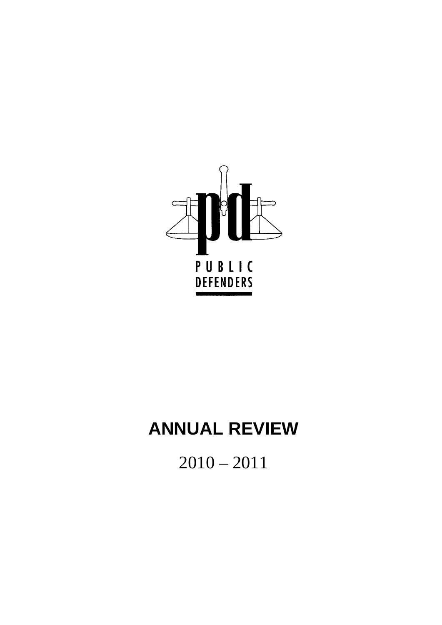

# **ANNUAL REVIEW**

2010 – 2011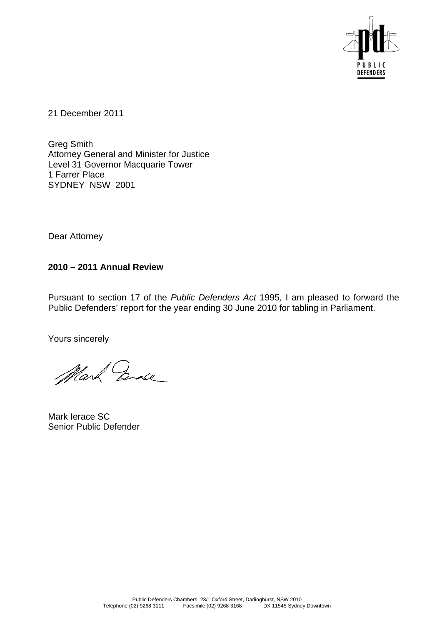

21 December 2011

Greg Smith Attorney General and Minister for Justice Level 31 Governor Macquarie Tower 1 Farrer Place SYDNEY NSW 2001

Dear Attorney

#### **2010 – 2011 Annual Review**

Pursuant to section 17 of the *Public Defenders Act* 1995*,* I am pleased to forward the Public Defenders' report for the year ending 30 June 2010 for tabling in Parliament.

Yours sincerely

Mark Ende

Mark Ierace SC Senior Public Defender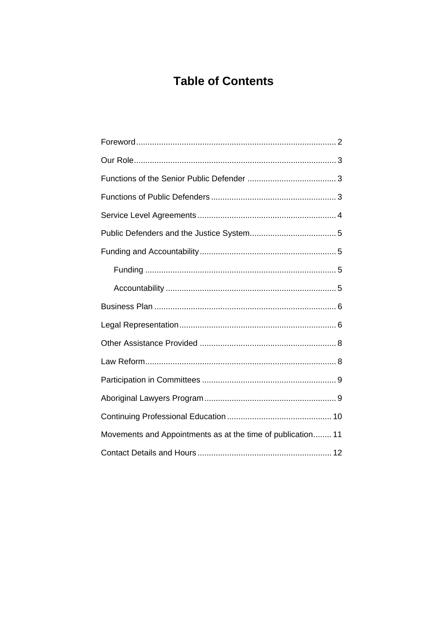## **Table of Contents**

| Movements and Appointments as at the time of publication 11 |  |
|-------------------------------------------------------------|--|
|                                                             |  |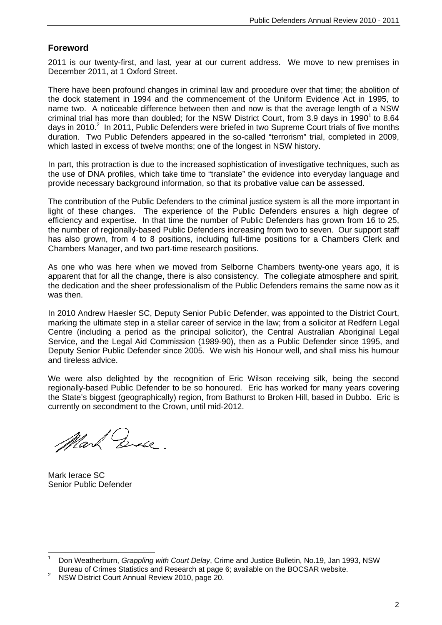#### **Foreword**

2011 is our twenty-first, and last, year at our current address. We move to new premises in December 2011, at 1 Oxford Street.

There have been profound changes in criminal law and procedure over that time; the abolition of the dock statement in 1994 and the commencement of the Uniform Evidence Act in 1995, to name two. A noticeable difference between then and now is that the average length of a NSW criminal trial has more than doubled; for the NSW District Court, from 3.9 days in 1990<sup>1</sup> to 8.64 days in 2010.<sup>2</sup> In 2011, Public Defenders were briefed in two Supreme Court trials of five months duration. Two Public Defenders appeared in the so-called "terrorism" trial, completed in 2009, which lasted in excess of twelve months; one of the longest in NSW history.

In part, this protraction is due to the increased sophistication of investigative techniques, such as the use of DNA profiles, which take time to "translate" the evidence into everyday language and provide necessary background information, so that its probative value can be assessed.

The contribution of the Public Defenders to the criminal justice system is all the more important in light of these changes. The experience of the Public Defenders ensures a high degree of efficiency and expertise. In that time the number of Public Defenders has grown from 16 to 25, the number of regionally-based Public Defenders increasing from two to seven. Our support staff has also grown, from 4 to 8 positions, including full-time positions for a Chambers Clerk and Chambers Manager, and two part-time research positions.

As one who was here when we moved from Selborne Chambers twenty-one years ago, it is apparent that for all the change, there is also consistency. The collegiate atmosphere and spirit, the dedication and the sheer professionalism of the Public Defenders remains the same now as it was then.

In 2010 Andrew Haesler SC, Deputy Senior Public Defender, was appointed to the District Court, marking the ultimate step in a stellar career of service in the law; from a solicitor at Redfern Legal Centre (including a period as the principal solicitor), the Central Australian Aboriginal Legal Service, and the Legal Aid Commission (1989-90), then as a Public Defender since 1995, and Deputy Senior Public Defender since 2005. We wish his Honour well, and shall miss his humour and tireless advice.

We were also delighted by the recognition of Eric Wilson receiving silk, being the second regionally-based Public Defender to be so honoured. Eric has worked for many years covering the State's biggest (geographically) region, from Bathurst to Broken Hill, based in Dubbo. Eric is currently on secondment to the Crown, until mid-2012.

Mark Engle

Mark Ierace SC Senior Public Defender

 $\overline{a}$ 1 Don Weatherburn, *Grappling with Court Delay*, Crime and Justice Bulletin, No.19, Jan 1993, NSW Bureau of Crimes Statistics and Research at page 6; available on the BOCSAR website. 2

NSW District Court Annual Review 2010, page 20.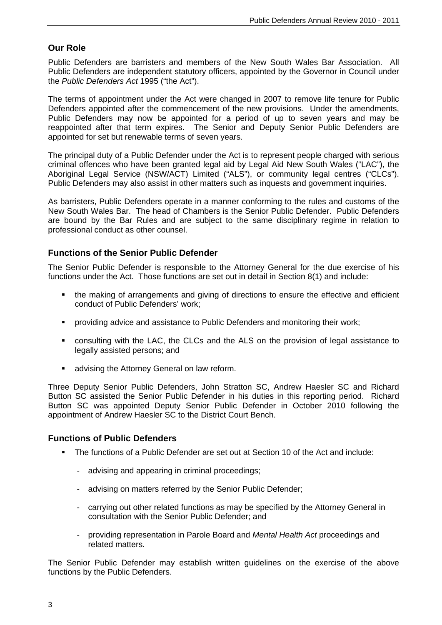#### **Our Role**

Public Defenders are barristers and members of the New South Wales Bar Association. All Public Defenders are independent statutory officers, appointed by the Governor in Council under the *Public Defenders Act* 1995 ("the Act").

The terms of appointment under the Act were changed in 2007 to remove life tenure for Public Defenders appointed after the commencement of the new provisions. Under the amendments, Public Defenders may now be appointed for a period of up to seven years and may be reappointed after that term expires. The Senior and Deputy Senior Public Defenders are appointed for set but renewable terms of seven years.

The principal duty of a Public Defender under the Act is to represent people charged with serious criminal offences who have been granted legal aid by Legal Aid New South Wales ("LAC"), the Aboriginal Legal Service (NSW/ACT) Limited ("ALS"), or community legal centres ("CLCs"). Public Defenders may also assist in other matters such as inquests and government inquiries.

As barristers, Public Defenders operate in a manner conforming to the rules and customs of the New South Wales Bar. The head of Chambers is the Senior Public Defender. Public Defenders are bound by the Bar Rules and are subject to the same disciplinary regime in relation to professional conduct as other counsel.

#### **Functions of the Senior Public Defender**

The Senior Public Defender is responsible to the Attorney General for the due exercise of his functions under the Act. Those functions are set out in detail in Section 8(1) and include:

- the making of arrangements and giving of directions to ensure the effective and efficient conduct of Public Defenders' work;
- **•** providing advice and assistance to Public Defenders and monitoring their work;
- consulting with the LAC, the CLCs and the ALS on the provision of legal assistance to legally assisted persons; and
- **advising the Attorney General on law reform.**

Three Deputy Senior Public Defenders, John Stratton SC, Andrew Haesler SC and Richard Button SC assisted the Senior Public Defender in his duties in this reporting period. Richard Button SC was appointed Deputy Senior Public Defender in October 2010 following the appointment of Andrew Haesler SC to the District Court Bench.

#### **Functions of Public Defenders**

- The functions of a Public Defender are set out at Section 10 of the Act and include:
	- advising and appearing in criminal proceedings;
	- advising on matters referred by the Senior Public Defender;
	- carrying out other related functions as may be specified by the Attorney General in consultation with the Senior Public Defender; and
	- providing representation in Parole Board and *Mental Health Act* proceedings and related matters.

The Senior Public Defender may establish written guidelines on the exercise of the above functions by the Public Defenders.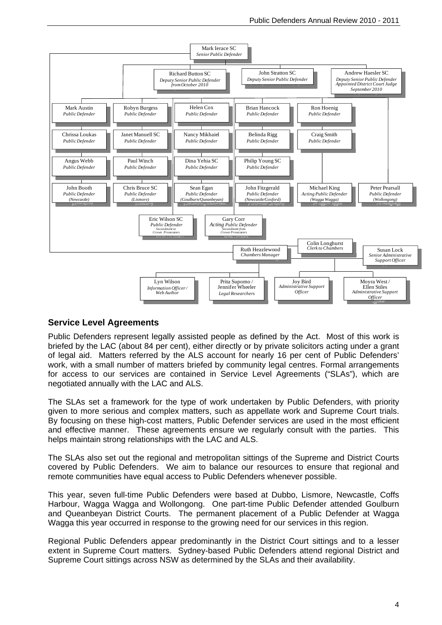

#### **Service Level Agreements**

Public Defenders represent legally assisted people as defined by the Act. Most of this work is briefed by the LAC (about 84 per cent), either directly or by private solicitors acting under a grant of legal aid. Matters referred by the ALS account for nearly 16 per cent of Public Defenders' work, with a small number of matters briefed by community legal centres. Formal arrangements for access to our services are contained in Service Level Agreements ("SLAs"), which are negotiated annually with the LAC and ALS.

The SLAs set a framework for the type of work undertaken by Public Defenders, with priority given to more serious and complex matters, such as appellate work and Supreme Court trials. By focusing on these high-cost matters, Public Defender services are used in the most efficient and effective manner. These agreements ensure we regularly consult with the parties. This helps maintain strong relationships with the LAC and ALS.

The SLAs also set out the regional and metropolitan sittings of the Supreme and District Courts covered by Public Defenders. We aim to balance our resources to ensure that regional and remote communities have equal access to Public Defenders whenever possible.

This year, seven full-time Public Defenders were based at Dubbo, Lismore, Newcastle, Coffs Harbour, Wagga Wagga and Wollongong. One part-time Public Defender attended Goulburn and Queanbeyan District Courts. The permanent placement of a Public Defender at Wagga Wagga this year occurred in response to the growing need for our services in this region.

Regional Public Defenders appear predominantly in the District Court sittings and to a lesser extent in Supreme Court matters. Sydney-based Public Defenders attend regional District and Supreme Court sittings across NSW as determined by the SLAs and their availability.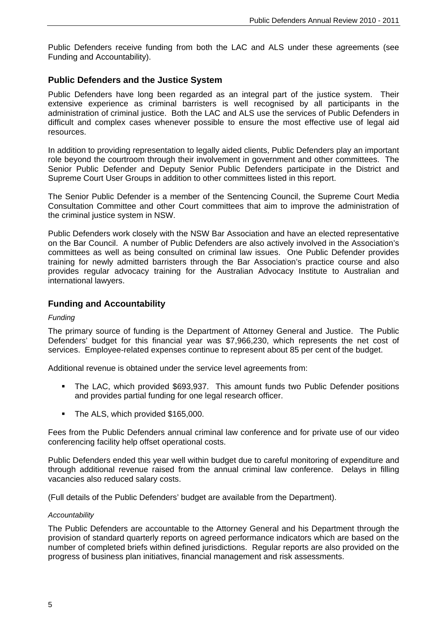Public Defenders receive funding from both the LAC and ALS under these agreements (see Funding and Accountability).

#### **Public Defenders and the Justice System**

Public Defenders have long been regarded as an integral part of the justice system. Their extensive experience as criminal barristers is well recognised by all participants in the administration of criminal justice. Both the LAC and ALS use the services of Public Defenders in difficult and complex cases whenever possible to ensure the most effective use of legal aid resources.

In addition to providing representation to legally aided clients, Public Defenders play an important role beyond the courtroom through their involvement in government and other committees. The Senior Public Defender and Deputy Senior Public Defenders participate in the District and Supreme Court User Groups in addition to other committees listed in this report.

The Senior Public Defender is a member of the Sentencing Council, the Supreme Court Media Consultation Committee and other Court committees that aim to improve the administration of the criminal justice system in NSW.

Public Defenders work closely with the NSW Bar Association and have an elected representative on the Bar Council. A number of Public Defenders are also actively involved in the Association's committees as well as being consulted on criminal law issues. One Public Defender provides training for newly admitted barristers through the Bar Association's practice course and also provides regular advocacy training for the Australian Advocacy Institute to Australian and international lawyers.

#### **Funding and Accountability**

#### *Funding*

The primary source of funding is the Department of Attorney General and Justice. The Public Defenders' budget for this financial year was \$7,966,230, which represents the net cost of services. Employee-related expenses continue to represent about 85 per cent of the budget.

Additional revenue is obtained under the service level agreements from:

- The LAC, which provided \$693,937. This amount funds two Public Defender positions and provides partial funding for one legal research officer.
- The ALS, which provided \$165,000.

Fees from the Public Defenders annual criminal law conference and for private use of our video conferencing facility help offset operational costs.

Public Defenders ended this year well within budget due to careful monitoring of expenditure and through additional revenue raised from the annual criminal law conference. Delays in filling vacancies also reduced salary costs.

(Full details of the Public Defenders' budget are available from the Department).

#### *Accountability*

The Public Defenders are accountable to the Attorney General and his Department through the provision of standard quarterly reports on agreed performance indicators which are based on the number of completed briefs within defined jurisdictions. Regular reports are also provided on the progress of business plan initiatives, financial management and risk assessments.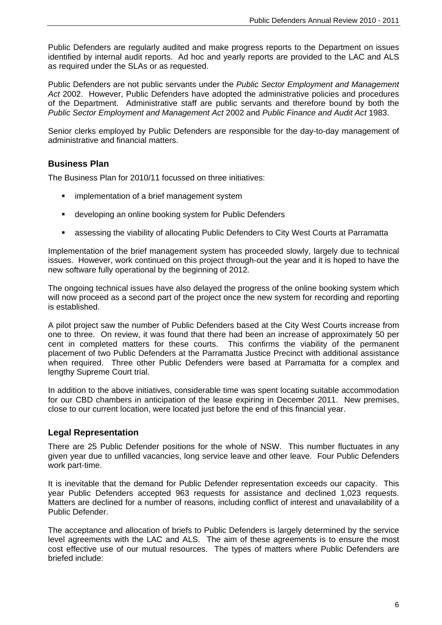Public Defenders are regularly audited and make progress reports to the Department on issues identified by internal audit reports. Ad hoc and yearly reports are provided to the LAC and ALS as required under the SLAs or as requested.

Public Defenders are not public servants under the *Public Sector Employment and Management Act* 2002. However, Public Defenders have adopted the administrative policies and procedures of the Department. Administrative staff are public servants and therefore bound by both the *Public Sector Employment and Management Act* 2002 and *Public Finance and Audit Act* 1983.

Senior clerks employed by Public Defenders are responsible for the day-to-day management of administrative and financial matters.

#### **Business Plan**

The Business Plan for 2010/11 focussed on three initiatives:

- **F** implementation of a brief management system
- **EXECT** developing an online booking system for Public Defenders
- assessing the viability of allocating Public Defenders to City West Courts at Parramatta

Implementation of the brief management system has proceeded slowly, largely due to technical issues. However, work continued on this project through-out the year and it is hoped to have the new software fully operational by the beginning of 2012.

The ongoing technical issues have also delayed the progress of the online booking system which will now proceed as a second part of the project once the new system for recording and reporting is established.

A pilot project saw the number of Public Defenders based at the City West Courts increase from one to three. On review, it was found that there had been an increase of approximately 50 per cent in completed matters for these courts. This confirms the viability of the permanent placement of two Public Defenders at the Parramatta Justice Precinct with additional assistance when required. Three other Public Defenders were based at Parramatta for a complex and lengthy Supreme Court trial.

In addition to the above initiatives, considerable time was spent locating suitable accommodation for our CBD chambers in anticipation of the lease expiring in December 2011. New premises, close to our current location, were located just before the end of this financial year.

#### **Legal Representation**

There are 25 Public Defender positions for the whole of NSW. This number fluctuates in any given year due to unfilled vacancies, long service leave and other leave. Four Public Defenders work part-time.

It is inevitable that the demand for Public Defender representation exceeds our capacity. This year Public Defenders accepted 963 requests for assistance and declined 1,023 requests. Matters are declined for a number of reasons, including conflict of interest and unavailability of a Public Defender.

The acceptance and allocation of briefs to Public Defenders is largely determined by the service level agreements with the LAC and ALS. The aim of these agreements is to ensure the most cost effective use of our mutual resources. The types of matters where Public Defenders are briefed include: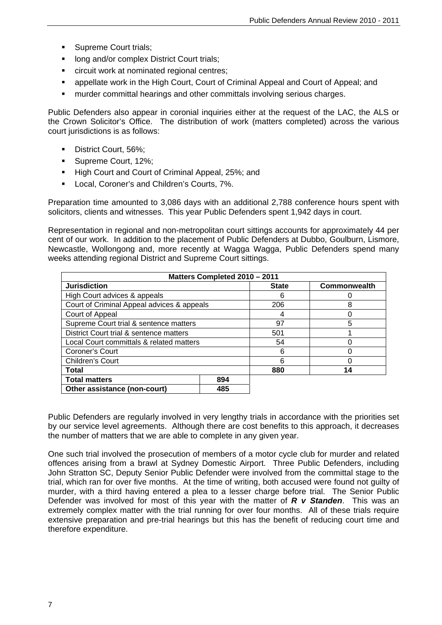- **Supreme Court trials:**
- long and/or complex District Court trials;
- circuit work at nominated regional centres;
- appellate work in the High Court, Court of Criminal Appeal and Court of Appeal; and
- murder committal hearings and other committals involving serious charges.

Public Defenders also appear in coronial inquiries either at the request of the LAC, the ALS or the Crown Solicitor's Office. The distribution of work (matters completed) across the various court jurisdictions is as follows:

- District Court, 56%;
- Supreme Court, 12%;
- High Court and Court of Criminal Appeal, 25%; and
- **Local, Coroner's and Children's Courts, 7%.**

Preparation time amounted to 3,086 days with an additional 2,788 conference hours spent with solicitors, clients and witnesses. This year Public Defenders spent 1,942 days in court.

Representation in regional and non-metropolitan court sittings accounts for approximately 44 per cent of our work. In addition to the placement of Public Defenders at Dubbo, Goulburn, Lismore, Newcastle, Wollongong and, more recently at Wagga Wagga, Public Defenders spend many weeks attending regional District and Supreme Court sittings.

| Matters Completed 2010 - 2011              |     |              |              |  |
|--------------------------------------------|-----|--------------|--------------|--|
| <b>Jurisdiction</b>                        |     | <b>State</b> | Commonwealth |  |
| High Court advices & appeals               |     | 6            |              |  |
| Court of Criminal Appeal advices & appeals |     | 206          | 8            |  |
| Court of Appeal                            |     | 4            |              |  |
| Supreme Court trial & sentence matters     |     | 97           | 5            |  |
| District Court trial & sentence matters    |     | 501          |              |  |
| Local Court committals & related matters   |     | 54           |              |  |
| Coroner's Court                            |     | 6            |              |  |
| Children's Court                           |     | 6            |              |  |
| Total                                      |     | 880          | 14           |  |
| <b>Total matters</b>                       | 894 |              |              |  |
| Other assistance (non-court)               | 485 |              |              |  |

Public Defenders are regularly involved in very lengthy trials in accordance with the priorities set by our service level agreements. Although there are cost benefits to this approach, it decreases the number of matters that we are able to complete in any given year.

One such trial involved the prosecution of members of a motor cycle club for murder and related offences arising from a brawl at Sydney Domestic Airport. Three Public Defenders, including John Stratton SC, Deputy Senior Public Defender were involved from the committal stage to the trial, which ran for over five months. At the time of writing, both accused were found not guilty of murder, with a third having entered a plea to a lesser charge before trial. The Senior Public Defender was involved for most of this year with the matter of *R v Standen*. This was an extremely complex matter with the trial running for over four months. All of these trials require extensive preparation and pre-trial hearings but this has the benefit of reducing court time and therefore expenditure.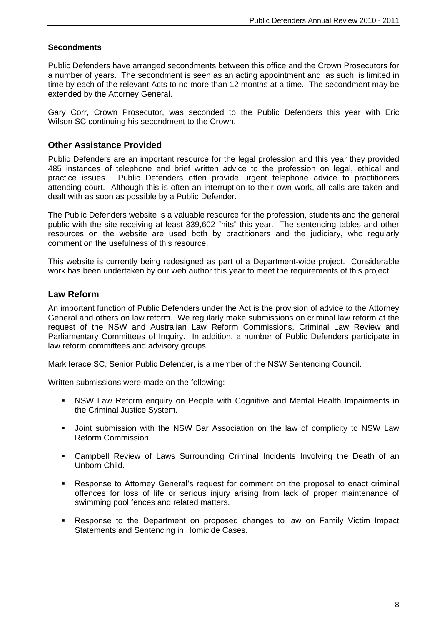#### **Secondments**

Public Defenders have arranged secondments between this office and the Crown Prosecutors for a number of years. The secondment is seen as an acting appointment and, as such, is limited in time by each of the relevant Acts to no more than 12 months at a time. The secondment may be extended by the Attorney General.

Gary Corr, Crown Prosecutor, was seconded to the Public Defenders this year with Eric Wilson SC continuing his secondment to the Crown.

#### **Other Assistance Provided**

Public Defenders are an important resource for the legal profession and this year they provided 485 instances of telephone and brief written advice to the profession on legal, ethical and practice issues. Public Defenders often provide urgent telephone advice to practitioners attending court. Although this is often an interruption to their own work, all calls are taken and dealt with as soon as possible by a Public Defender.

The Public Defenders website is a valuable resource for the profession, students and the general public with the site receiving at least 339,602 "hits" this year. The sentencing tables and other resources on the website are used both by practitioners and the judiciary, who regularly comment on the usefulness of this resource.

This website is currently being redesigned as part of a Department-wide project. Considerable work has been undertaken by our web author this year to meet the requirements of this project.

#### **Law Reform**

An important function of Public Defenders under the Act is the provision of advice to the Attorney General and others on law reform. We regularly make submissions on criminal law reform at the request of the NSW and Australian Law Reform Commissions, Criminal Law Review and Parliamentary Committees of Inquiry. In addition, a number of Public Defenders participate in law reform committees and advisory groups.

Mark Ierace SC, Senior Public Defender, is a member of the NSW Sentencing Council.

Written submissions were made on the following:

- NSW Law Reform enquiry on People with Cognitive and Mental Health Impairments in the Criminal Justice System.
- Joint submission with the NSW Bar Association on the law of complicity to NSW Law Reform Commission.
- Campbell Review of Laws Surrounding Criminal Incidents Involving the Death of an Unborn Child.
- Response to Attorney General's request for comment on the proposal to enact criminal offences for loss of life or serious injury arising from lack of proper maintenance of swimming pool fences and related matters.
- Response to the Department on proposed changes to law on Family Victim Impact Statements and Sentencing in Homicide Cases.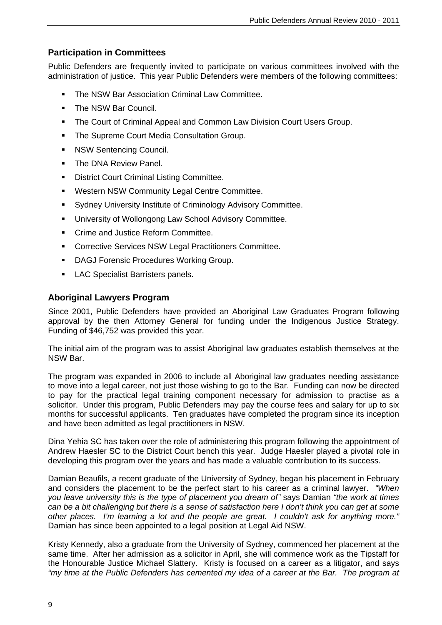#### **Participation in Committees**

Public Defenders are frequently invited to participate on various committees involved with the administration of justice. This year Public Defenders were members of the following committees:

- The NSW Bar Association Criminal Law Committee.
- The NSW Bar Council.
- The Court of Criminal Appeal and Common Law Division Court Users Group.
- The Supreme Court Media Consultation Group.
- **NSW Sentencing Council.**
- The DNA Review Panel.
- District Court Criminal Listing Committee.
- Western NSW Community Legal Centre Committee.
- Sydney University Institute of Criminology Advisory Committee.
- University of Wollongong Law School Advisory Committee.
- **Crime and Justice Reform Committee.**
- **EXECO CORRECT:** Corrective Services NSW Legal Practitioners Committee.
- DAGJ Forensic Procedures Working Group.
- **LAC Specialist Barristers panels.**

#### **Aboriginal Lawyers Program**

Since 2001, Public Defenders have provided an Aboriginal Law Graduates Program following approval by the then Attorney General for funding under the Indigenous Justice Strategy. Funding of \$46,752 was provided this year.

The initial aim of the program was to assist Aboriginal law graduates establish themselves at the NSW Bar.

The program was expanded in 2006 to include all Aboriginal law graduates needing assistance to move into a legal career, not just those wishing to go to the Bar. Funding can now be directed to pay for the practical legal training component necessary for admission to practise as a solicitor. Under this program, Public Defenders may pay the course fees and salary for up to six months for successful applicants. Ten graduates have completed the program since its inception and have been admitted as legal practitioners in NSW.

Dina Yehia SC has taken over the role of administering this program following the appointment of Andrew Haesler SC to the District Court bench this year. Judge Haesler played a pivotal role in developing this program over the years and has made a valuable contribution to its success.

Damian Beaufils, a recent graduate of the University of Sydney, began his placement in February and considers the placement to be the perfect start to his career as a criminal lawyer. *"When you leave university this is the type of placement you dream of"* says Damian *"the work at times can be a bit challenging but there is a sense of satisfaction here I don't think you can get at some other places. I'm learning a lot and the people are great. I couldn't ask for anything more."* Damian has since been appointed to a legal position at Legal Aid NSW.

Kristy Kennedy, also a graduate from the University of Sydney, commenced her placement at the same time. After her admission as a solicitor in April, she will commence work as the Tipstaff for the Honourable Justice Michael Slattery. Kristy is focused on a career as a litigator, and says *"my time at the Public Defenders has cemented my idea of a career at the Bar. The program at*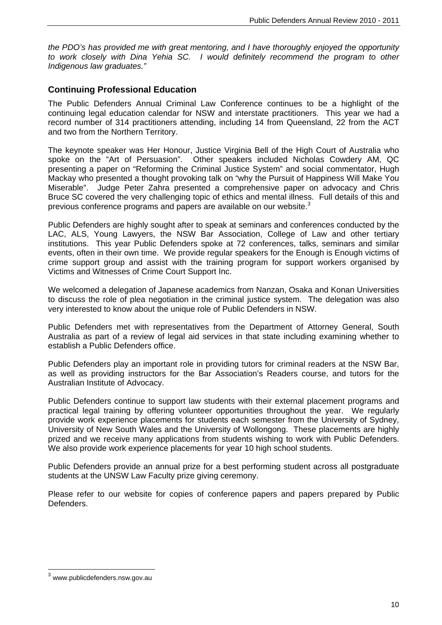*the PDO's has provided me with great mentoring, and I have thoroughly enjoyed the opportunity to work closely with Dina Yehia SC. I would definitely recommend the program to other Indigenous law graduates."*

#### **Continuing Professional Education**

The Public Defenders Annual Criminal Law Conference continues to be a highlight of the continuing legal education calendar for NSW and interstate practitioners. This year we had a record number of 314 practitioners attending, including 14 from Queensland, 22 from the ACT and two from the Northern Territory.

The keynote speaker was Her Honour, Justice Virginia Bell of the High Court of Australia who spoke on the "Art of Persuasion". Other speakers included Nicholas Cowdery AM, QC presenting a paper on "Reforming the Criminal Justice System" and social commentator, Hugh Mackay who presented a thought provoking talk on "why the Pursuit of Happiness Will Make You Miserable". Judge Peter Zahra presented a comprehensive paper on advocacy and Chris Bruce SC covered the very challenging topic of ethics and mental illness. Full details of this and previous conference programs and papers are available on our website. $3$ 

Public Defenders are highly sought after to speak at seminars and conferences conducted by the LAC, ALS, Young Lawyers, the NSW Bar Association, College of Law and other tertiary institutions. This year Public Defenders spoke at 72 conferences, talks, seminars and similar events, often in their own time. We provide regular speakers for the Enough is Enough victims of crime support group and assist with the training program for support workers organised by Victims and Witnesses of Crime Court Support Inc.

We welcomed a delegation of Japanese academics from Nanzan, Osaka and Konan Universities to discuss the role of plea negotiation in the criminal justice system. The delegation was also very interested to know about the unique role of Public Defenders in NSW.

Public Defenders met with representatives from the Department of Attorney General, South Australia as part of a review of legal aid services in that state including examining whether to establish a Public Defenders office.

Public Defenders play an important role in providing tutors for criminal readers at the NSW Bar, as well as providing instructors for the Bar Association's Readers course, and tutors for the Australian Institute of Advocacy.

Public Defenders continue to support law students with their external placement programs and practical legal training by offering volunteer opportunities throughout the year. We regularly provide work experience placements for students each semester from the University of Sydney, University of New South Wales and the University of Wollongong. These placements are highly prized and we receive many applications from students wishing to work with Public Defenders. We also provide work experience placements for year 10 high school students.

Public Defenders provide an annual prize for a best performing student across all postgraduate students at the UNSW Law Faculty prize giving ceremony.

Please refer to our website for copies of conference papers and papers prepared by Public Defenders.

 $\overline{a}$ 

<sup>3</sup> www.publicdefenders.nsw.gov.au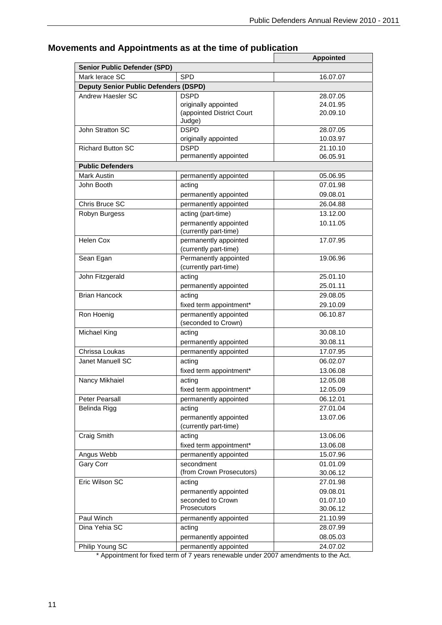|                                              |                                                | <b>Appointed</b> |
|----------------------------------------------|------------------------------------------------|------------------|
| <b>Senior Public Defender (SPD)</b>          |                                                |                  |
| Mark lerace SC                               | <b>SPD</b>                                     | 16.07.07         |
| <b>Deputy Senior Public Defenders (DSPD)</b> |                                                |                  |
| Andrew Haesler SC                            | <b>DSPD</b>                                    | 28.07.05         |
|                                              | originally appointed                           | 24.01.95         |
|                                              | (appointed District Court<br>Judge)            | 20.09.10         |
| John Stratton SC                             | <b>DSPD</b>                                    | 28.07.05         |
|                                              | originally appointed                           | 10.03.97         |
| <b>Richard Button SC</b>                     | <b>DSPD</b>                                    | 21.10.10         |
|                                              | permanently appointed                          | 06.05.91         |
| <b>Public Defenders</b>                      |                                                |                  |
| <b>Mark Austin</b>                           | permanently appointed                          | 05.06.95         |
| John Booth                                   | acting                                         | 07.01.98         |
|                                              | permanently appointed                          | 09.08.01         |
| Chris Bruce SC                               | permanently appointed                          | 26.04.88         |
| Robyn Burgess                                | acting (part-time)                             | 13.12.00         |
|                                              | permanently appointed                          | 10.11.05         |
|                                              | (currently part-time)                          |                  |
| Helen Cox                                    | permanently appointed<br>(currently part-time) | 17.07.95         |
| Sean Egan                                    | Permanently appointed                          | 19.06.96         |
|                                              | (currently part-time)                          |                  |
| John Fitzgerald                              | acting                                         | 25.01.10         |
|                                              | permanently appointed                          | 25.01.11         |
| <b>Brian Hancock</b>                         | acting                                         | 29.08.05         |
|                                              | fixed term appointment*                        | 29.10.09         |
| Ron Hoenig                                   | permanently appointed                          | 06.10.87         |
|                                              | (seconded to Crown)                            |                  |
| Michael King                                 | acting                                         | 30.08.10         |
|                                              | permanently appointed                          | 30.08.11         |
| Chrissa Loukas                               | permanently appointed                          | 17.07.95         |
| Janet Manuell SC                             | acting                                         | 06.02.07         |
|                                              | fixed term appointment*                        | 13.06.08         |
| Nancy Mikhaiel                               | acting                                         | 12.05.08         |
|                                              | fixed term appointment*                        | 12.05.09         |
| Peter Pearsall                               | permanently appointed                          | 06.12.01         |
| Belinda Rigg                                 | acting                                         | 27.01.04         |
|                                              | permanently appointed                          | 13.07.06         |
|                                              | (currently part-time)                          |                  |
| Craig Smith                                  | acting                                         | 13.06.06         |
|                                              | fixed term appointment*                        | 13.06.08         |
| Angus Webb                                   | permanently appointed                          | 15.07.96         |
| <b>Gary Corr</b>                             | secondment                                     | 01.01.09         |
|                                              | (from Crown Prosecutors)                       | 30.06.12         |
| Eric Wilson SC                               | acting                                         | 27.01.98         |
|                                              | permanently appointed                          | 09.08.01         |
|                                              | seconded to Crown                              | 01.07.10         |
|                                              | Prosecutors                                    | 30.06.12         |
| Paul Winch                                   | permanently appointed                          | 21.10.99         |
| Dina Yehia SC                                | acting                                         | 28.07.99         |
|                                              | permanently appointed                          | 08.05.03         |
| Philip Young SC                              | permanently appointed                          | 24.07.02         |

### **Movements and Appointments as at the time of publication**

\* Appointment for fixed term of 7 years renewable under 2007 amendments to the Act.